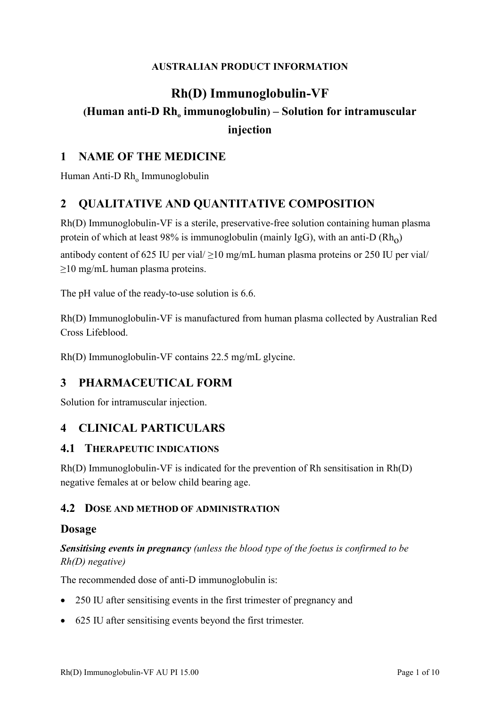#### **AUSTRALIAN PRODUCT INFORMATION**

# **Rh(D) Immunoglobulin-VF (Human** anti-D Rh<sub>o</sub> immunoglobulin) – Solution for intramuscular **injection**

### **1 NAME OF THE MEDICINE**

Human Anti-D  $Rh_{o}$  Immunoglobulin

## **2 QUALITATIVE AND QUANTITATIVE COMPOSITION**

Rh(D) Immunoglobulin-VF is a sterile, preservative-free solution containing human plasma protein of which at least 98% is immunoglobulin (mainly IgG), with an anti-D  $(Rh_0)$ 

antibody content of 625 IU per vial/ $\geq$ 10 mg/mL human plasma proteins or 250 IU per vial/ ≥10 mg/mL human plasma proteins.

The pH value of the ready-to-use solution is 6.6.

Rh(D) Immunoglobulin-VF is manufactured from human plasma collected by Australian Red Cross Lifeblood.

Rh(D) Immunoglobulin-VF contains 22.5 mg/mL glycine.

### **3 PHARMACEUTICAL FORM**

Solution for intramuscular injection.

### **4 CLINICAL PARTICULARS**

#### **4.1 THERAPEUTIC INDICATIONS**

Rh(D) Immunoglobulin-VF is indicated for the prevention of Rh sensitisation in Rh(D) negative females at or below child bearing age.

#### **4.2 DOSE AND METHOD OF ADMINISTRATION**

#### **Dosage**

*Sensitising events in pregnancy (unless the blood type of the foetus is confirmed to be Rh(D) negative)*

The recommended dose of anti-D immunoglobulin is:

- 250 IU after sensitising events in the first trimester of pregnancy and
- 625 IU after sensitising events beyond the first trimester.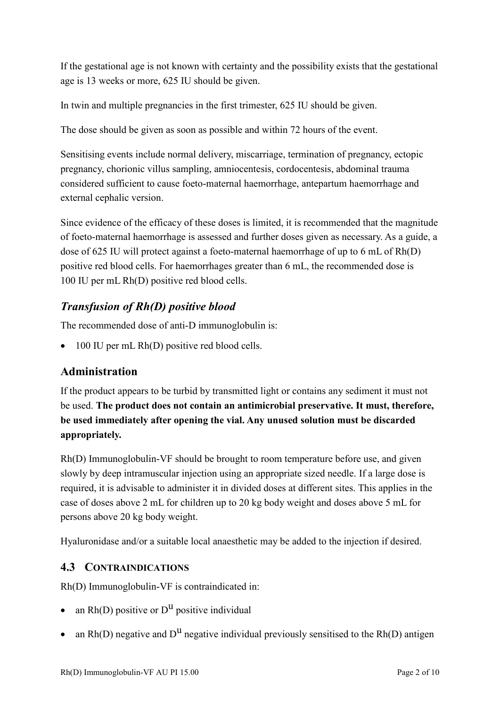If the gestational age is not known with certainty and the possibility exists that the gestational age is 13 weeks or more, 625 IU should be given.

In twin and multiple pregnancies in the first trimester, 625 IU should be given.

The dose should be given as soon as possible and within 72 hours of the event.

Sensitising events include normal delivery, miscarriage, termination of pregnancy, ectopic pregnancy, chorionic villus sampling, amniocentesis, cordocentesis, abdominal trauma considered sufficient to cause foeto-maternal haemorrhage, antepartum haemorrhage and external cephalic version.

Since evidence of the efficacy of these doses is limited, it is recommended that the magnitude of foeto-maternal haemorrhage is assessed and further doses given as necessary. As a guide, a dose of 625 IU will protect against a foeto-maternal haemorrhage of up to 6 mL of Rh(D) positive red blood cells. For haemorrhages greater than 6 mL, the recommended dose is 100 IU per mL Rh(D) positive red blood cells.

## *Transfusion of Rh(D) positive blood*

The recommended dose of anti-D immunoglobulin is:

• 100 IU per mL Rh(D) positive red blood cells.

### **Administration**

If the product appears to be turbid by transmitted light or contains any sediment it must not be used. **The product does not contain an antimicrobial preservative. It must, therefore, be used immediately after opening the vial. Any unused solution must be discarded appropriately.**

Rh(D) Immunoglobulin-VF should be brought to room temperature before use, and given slowly by deep intramuscular injection using an appropriate sized needle. If a large dose is required, it is advisable to administer it in divided doses at different sites. This applies in the case of doses above 2 mL for children up to 20 kg body weight and doses above 5 mL for persons above 20 kg body weight.

Hyaluronidase and/or a suitable local anaesthetic may be added to the injection if desired.

#### **4.3 CONTRAINDICATIONS**

Rh(D) Immunoglobulin-VF is contraindicated in:

- an  $Rh(D)$  positive or  $D^U$  positive individual
- an Rh(D) negative and  $D^{\text{u}}$  negative individual previously sensitised to the Rh(D) antigen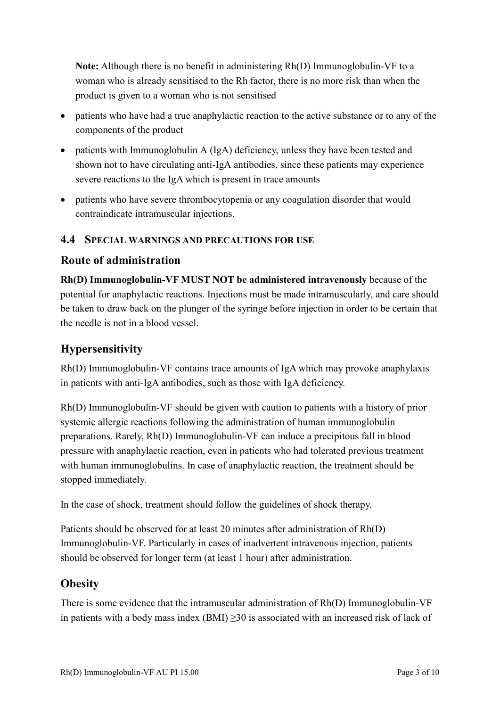**Note:** Although there is no benefit in administering Rh(D) Immunoglobulin-VF to a woman who is already sensitised to the Rh factor, there is no more risk than when the product is given to a woman who is not sensitised

- patients who have had a true anaphylactic reaction to the active substance or to any of the components of the product
- patients with Immunoglobulin A (IgA) deficiency, unless they have been tested and shown not to have circulating anti-IgA antibodies, since these patients may experience severe reactions to the IgA which is present in trace amounts
- patients who have severe thrombocytopenia or any coagulation disorder that would contraindicate intramuscular injections.

#### **4.4 SPECIAL WARNINGS AND PRECAUTIONS FOR USE**

### **Route of administration**

**Rh(D) Immunoglobulin-VF MUST NOT be administered intravenously** because of the potential for anaphylactic reactions. Injections must be made intramuscularly, and care should be taken to draw back on the plunger of the syringe before injection in order to be certain that the needle is not in a blood vessel.

## **Hypersensitivity**

Rh(D) Immunoglobulin-VF contains trace amounts of IgA which may provoke anaphylaxis in patients with anti-IgA antibodies, such as those with IgA deficiency.

Rh(D) Immunoglobulin-VF should be given with caution to patients with a history of prior systemic allergic reactions following the administration of human immunoglobulin preparations. Rarely, Rh(D) Immunoglobulin-VF can induce a precipitous fall in blood pressure with anaphylactic reaction, even in patients who had tolerated previous treatment with human immunoglobulins. In case of anaphylactic reaction, the treatment should be stopped immediately.

In the case of shock, treatment should follow the guidelines of shock therapy.

Patients should be observed for at least 20 minutes after administration of Rh(D) Immunoglobulin-VF. Particularly in cases of inadvertent intravenous injection, patients should be observed for longer term (at least 1 hour) after administration.

### **Obesity**

There is some evidence that the intramuscular administration of Rh(D) Immunoglobulin-VF in patients with a body mass index  $(BMI) \ge 30$  is associated with an increased risk of lack of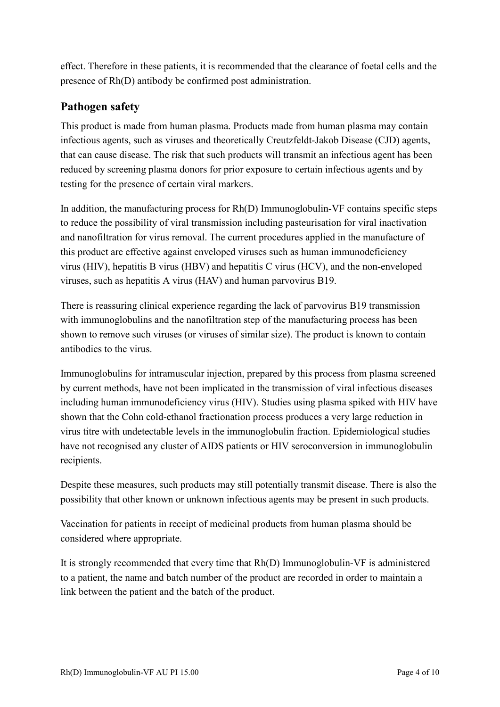effect. Therefore in these patients, it is recommended that the clearance of foetal cells and the presence of Rh(D) antibody be confirmed post administration.

## **Pathogen safety**

This product is made from human plasma. Products made from human plasma may contain infectious agents, such as viruses and theoretically Creutzfeldt-Jakob Disease (CJD) agents, that can cause disease. The risk that such products will transmit an infectious agent has been reduced by screening plasma donors for prior exposure to certain infectious agents and by testing for the presence of certain viral markers.

In addition, the manufacturing process for Rh(D) Immunoglobulin-VF contains specific steps to reduce the possibility of viral transmission including pasteurisation for viral inactivation and nanofiltration for virus removal. The current procedures applied in the manufacture of this product are effective against enveloped viruses such as human immunodeficiency virus (HIV), hepatitis B virus (HBV) and hepatitis C virus (HCV), and the non-enveloped viruses, such as hepatitis A virus (HAV) and human parvovirus B19.

There is reassuring clinical experience regarding the lack of parvovirus B19 transmission with immunoglobulins and the nanofiltration step of the manufacturing process has been shown to remove such viruses (or viruses of similar size). The product is known to contain antibodies to the virus.

Immunoglobulins for intramuscular injection, prepared by this process from plasma screened by current methods, have not been implicated in the transmission of viral infectious diseases including human immunodeficiency virus (HIV). Studies using plasma spiked with HIV have shown that the Cohn cold-ethanol fractionation process produces a very large reduction in virus titre with undetectable levels in the immunoglobulin fraction. Epidemiological studies have not recognised any cluster of AIDS patients or HIV seroconversion in immunoglobulin recipients.

Despite these measures, such products may still potentially transmit disease. There is also the possibility that other known or unknown infectious agents may be present in such products.

Vaccination for patients in receipt of medicinal products from human plasma should be considered where appropriate.

It is strongly recommended that every time that Rh(D) Immunoglobulin-VF is administered to a patient, the name and batch number of the product are recorded in order to maintain a link between the patient and the batch of the product.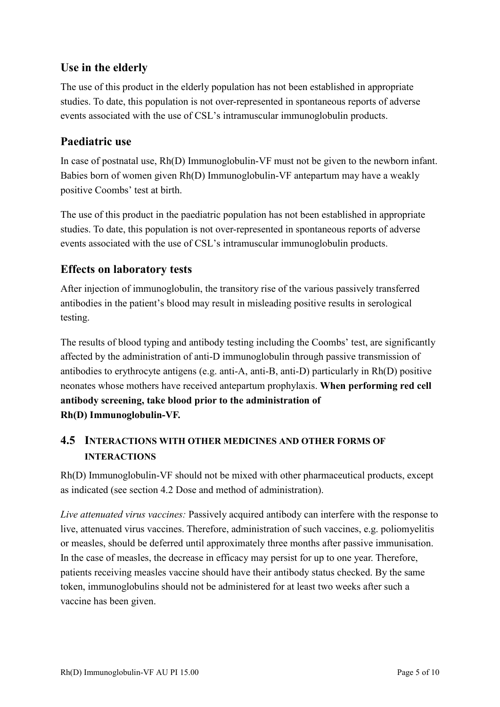## **Use in the elderly**

The use of this product in the elderly population has not been established in appropriate studies. To date, this population is not over-represented in spontaneous reports of adverse events associated with the use of CSL's intramuscular immunoglobulin products.

### **Paediatric use**

In case of postnatal use, Rh(D) Immunoglobulin-VF must not be given to the newborn infant. Babies born of women given Rh(D) Immunoglobulin-VF antepartum may have a weakly positive Coombs' test at birth.

The use of this product in the paediatric population has not been established in appropriate studies. To date, this population is not over-represented in spontaneous reports of adverse events associated with the use of CSL's intramuscular immunoglobulin products.

## **Effects on laboratory tests**

After injection of immunoglobulin, the transitory rise of the various passively transferred antibodies in the patient's blood may result in misleading positive results in serological testing.

The results of blood typing and antibody testing including the Coombs' test, are significantly affected by the administration of anti-D immunoglobulin through passive transmission of antibodies to erythrocyte antigens (e.g. anti-A, anti-B, anti-D) particularly in Rh(D) positive neonates whose mothers have received antepartum prophylaxis. **When performing red cell antibody screening, take blood prior to the administration of Rh(D) Immunoglobulin-VF.**

## **4.5 INTERACTIONS WITH OTHER MEDICINES AND OTHER FORMS OF INTERACTIONS**

Rh(D) Immunoglobulin-VF should not be mixed with other pharmaceutical products, except as indicated (see section 4.2 Dose and method of administration).

*Live attenuated virus vaccines:* Passively acquired antibody can interfere with the response to live, attenuated virus vaccines. Therefore, administration of such vaccines, e.g. poliomyelitis or measles, should be deferred until approximately three months after passive immunisation. In the case of measles, the decrease in efficacy may persist for up to one year. Therefore, patients receiving measles vaccine should have their antibody status checked. By the same token, immunoglobulins should not be administered for at least two weeks after such a vaccine has been given.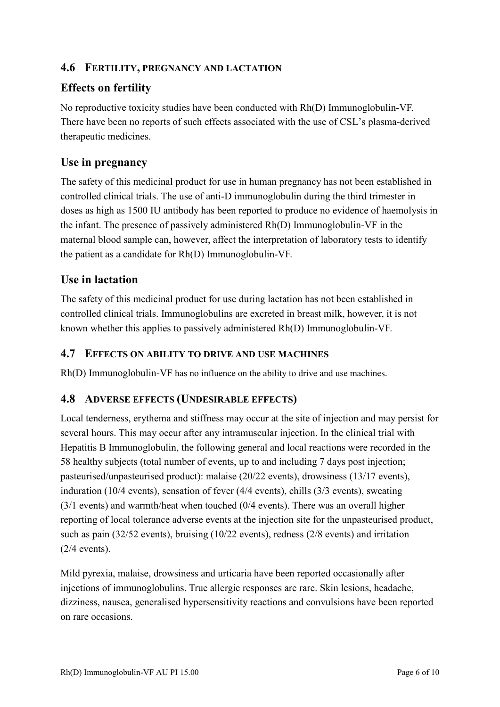### **4.6 FERTILITY, PREGNANCY AND LACTATION**

## **Effects on fertility**

No reproductive toxicity studies have been conducted with Rh(D) Immunoglobulin-VF. There have been no reports of such effects associated with the use of CSL's plasma-derived therapeutic medicines.

## **Use in pregnancy**

The safety of this medicinal product for use in human pregnancy has not been established in controlled clinical trials. The use of anti-D immunoglobulin during the third trimester in doses as high as 1500 IU antibody has been reported to produce no evidence of haemolysis in the infant. The presence of passively administered Rh(D) Immunoglobulin-VF in the maternal blood sample can, however, affect the interpretation of laboratory tests to identify the patient as a candidate for Rh(D) Immunoglobulin-VF.

## **Use in lactation**

The safety of this medicinal product for use during lactation has not been established in controlled clinical trials. Immunoglobulins are excreted in breast milk, however, it is not known whether this applies to passively administered Rh(D) Immunoglobulin-VF.

#### **4.7 EFFECTS ON ABILITY TO DRIVE AND USE MACHINES**

Rh(D) Immunoglobulin-VF has no influence on the ability to drive and use machines.

### **4.8 ADVERSE EFFECTS (UNDESIRABLE EFFECTS)**

Local tenderness, erythema and stiffness may occur at the site of injection and may persist for several hours. This may occur after any intramuscular injection. In the clinical trial with Hepatitis B Immunoglobulin, the following general and local reactions were recorded in the 58 healthy subjects (total number of events, up to and including 7 days post injection; pasteurised/unpasteurised product): malaise (20/22 events), drowsiness (13/17 events), induration (10/4 events), sensation of fever (4/4 events), chills (3/3 events), sweating (3/1 events) and warmth/heat when touched (0/4 events). There was an overall higher reporting of local tolerance adverse events at the injection site for the unpasteurised product, such as pain (32/52 events), bruising (10/22 events), redness (2/8 events) and irritation (2/4 events).

Mild pyrexia, malaise, drowsiness and urticaria have been reported occasionally after injections of immunoglobulins. True allergic responses are rare. Skin lesions, headache, dizziness, nausea, generalised hypersensitivity reactions and convulsions have been reported on rare occasions.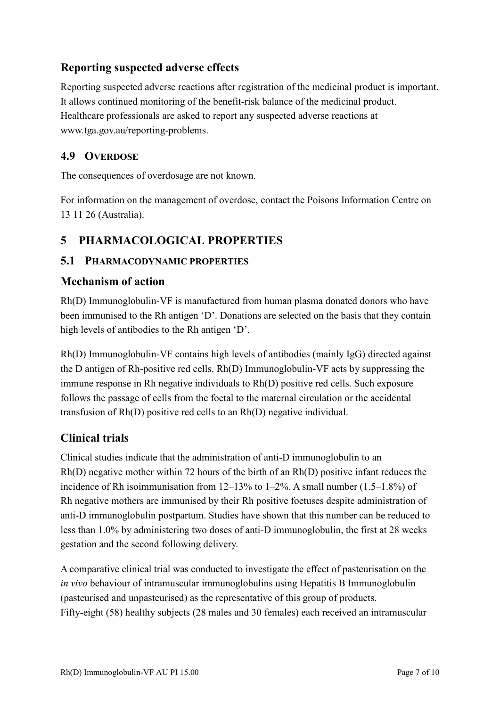### **Reporting suspected adverse effects**

Reporting suspected adverse reactions after registration of the medicinal product is important. It allows continued monitoring of the benefit-risk balance of the medicinal product. Healthcare professionals are asked to report any suspected adverse reactions at www.tga.gov.au/reporting-problems.

### **4.9 OVERDOSE**

The consequences of overdosage are not known.

For information on the management of overdose, contact the Poisons Information Centre on 13 11 26 (Australia).

## **5 PHARMACOLOGICAL PROPERTIES**

### **5.1 PHARMACODYNAMIC PROPERTIES**

### **Mechanism of action**

Rh(D) Immunoglobulin-VF is manufactured from human plasma donated donors who have been immunised to the Rh antigen 'D'. Donations are selected on the basis that they contain high levels of antibodies to the Rh antigen 'D'.

Rh(D) Immunoglobulin-VF contains high levels of antibodies (mainly IgG) directed against the D antigen of Rh-positive red cells. Rh(D) Immunoglobulin-VF acts by suppressing the immune response in Rh negative individuals to Rh(D) positive red cells. Such exposure follows the passage of cells from the foetal to the maternal circulation or the accidental transfusion of Rh(D) positive red cells to an Rh(D) negative individual.

### **Clinical trials**

Clinical studies indicate that the administration of anti-D immunoglobulin to an Rh(D) negative mother within 72 hours of the birth of an Rh(D) positive infant reduces the incidence of Rh isoimmunisation from 12–13% to 1–2%. A small number (1.5–1.8%) of Rh negative mothers are immunised by their Rh positive foetuses despite administration of anti-D immunoglobulin postpartum. Studies have shown that this number can be reduced to less than 1.0% by administering two doses of anti-D immunoglobulin, the first at 28 weeks gestation and the second following delivery.

A comparative clinical trial was conducted to investigate the effect of pasteurisation on the *in vivo* behaviour of intramuscular immunoglobulins using Hepatitis B Immunoglobulin (pasteurised and unpasteurised) as the representative of this group of products. Fifty-eight (58) healthy subjects (28 males and 30 females) each received an intramuscular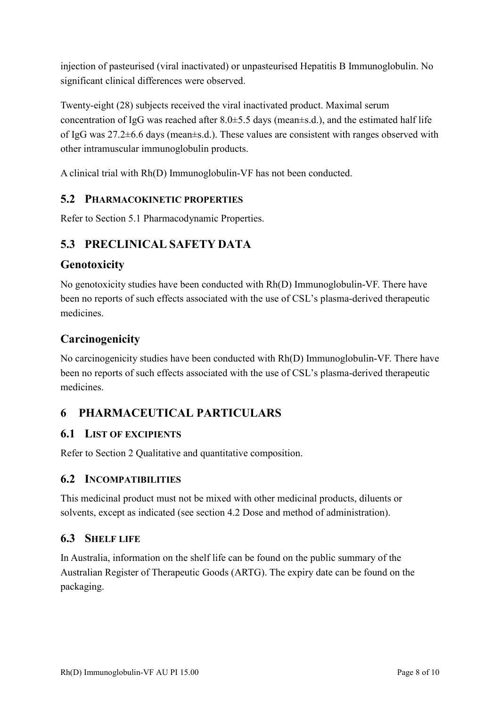injection of pasteurised (viral inactivated) or unpasteurised Hepatitis B Immunoglobulin. No significant clinical differences were observed.

Twenty-eight (28) subjects received the viral inactivated product. Maximal serum concentration of IgG was reached after  $8.0 \pm 5.5$  days (mean $\pm$ s.d.), and the estimated half life of IgG was 27.2±6.6 days (mean±s.d.). These values are consistent with ranges observed with other intramuscular immunoglobulin products.

A clinical trial with Rh(D) Immunoglobulin-VF has not been conducted.

#### **5.2 PHARMACOKINETIC PROPERTIES**

Refer to Section 5.1 Pharmacodynamic Properties.

## **5.3 PRECLINICAL SAFETY DATA**

### **Genotoxicity**

No genotoxicity studies have been conducted with Rh(D) Immunoglobulin-VF. There have been no reports of such effects associated with the use of CSL's plasma-derived therapeutic medicines.

### **Carcinogenicity**

No carcinogenicity studies have been conducted with Rh(D) Immunoglobulin-VF. There have been no reports of such effects associated with the use of CSL's plasma-derived therapeutic medicines.

## **6 PHARMACEUTICAL PARTICULARS**

#### **6.1 LIST OF EXCIPIENTS**

Refer to Section 2 Qualitative and quantitative composition.

#### **6.2 INCOMPATIBILITIES**

This medicinal product must not be mixed with other medicinal products, diluents or solvents, except as indicated (see section 4.2 Dose and method of administration).

#### **6.3 SHELF LIFE**

In Australia, information on the shelf life can be found on the public summary of the Australian Register of Therapeutic Goods (ARTG). The expiry date can be found on the packaging.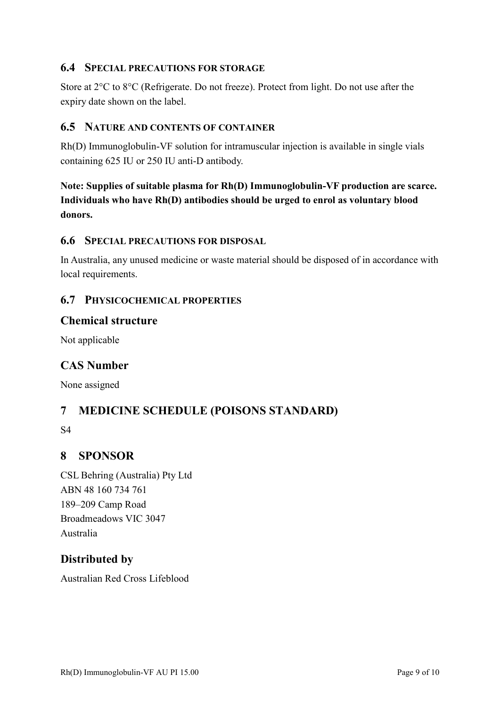#### **6.4 SPECIAL PRECAUTIONS FOR STORAGE**

Store at 2°C to 8°C (Refrigerate. Do not freeze). Protect from light. Do not use after the expiry date shown on the label.

#### **6.5 NATURE AND CONTENTS OF CONTAINER**

Rh(D) Immunoglobulin-VF solution for intramuscular injection is available in single vials containing 625 IU or 250 IU anti-D antibody.

**Note: Supplies of suitable plasma for Rh(D) Immunoglobulin-VF production are scarce. Individuals who have Rh(D) antibodies should be urged to enrol as voluntary blood donors.**

#### **6.6 SPECIAL PRECAUTIONS FOR DISPOSAL**

In Australia, any unused medicine or waste material should be disposed of in accordance with local requirements.

#### **6.7 PHYSICOCHEMICAL PROPERTIES**

#### **Chemical structure**

Not applicable

#### **CAS Number**

None assigned

## **7 MEDICINE SCHEDULE (POISONS STANDARD)**

S4

#### **8 SPONSOR**

CSL Behring (Australia) Pty Ltd ABN 48 160 734 761 189–209 Camp Road Broadmeadows VIC 3047 Australia

### **Distributed by**

Australian Red Cross Lifeblood